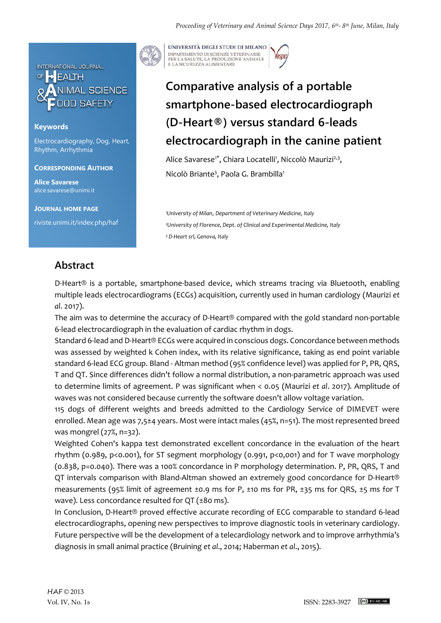

## **Keywords**

Electrocardiography, Dog, Heart, Rhythm, Arrhythmia

**CORRESPONDING AUTHOR**

**Alice Savarese** alice.savarese@unimi.it

**JOURNAL HOME PAGE**

riviste.unimi.it/index.php/haf



UNIVERSITÀ DEGLI STUDI DI MILANO DIPARTIMENTO DI SCIENZE VETERINARIE PER LA SALUTE, LA PRODUZIONE ANIMALE<br>E LA SICUREZZA ALIMENTARE

## **Comparative analysis of a portable smartphone-based electrocardiograph (D-Heart®) versus standard 6-leads electrocardiograph in the canine patient**

Alice Savarese<sup>1\*</sup>, Chiara Locatelli<sup>1</sup>, Niccolò Maurizi<sup>2,3</sup>, Nicolò Briante<sup>3</sup>, Paola G. Brambilla<sup>1</sup>

*<sup>1</sup>University of Milan*, *Department of Veterinary Medicine, Italy <sup>2</sup>University of Florence, Dept. of Clinical and Experimental Medicine, Italy <sup>3</sup> D-Heart srl, Genova, Italy*

## **Abstract**

D-Heart® is a portable, smartphone-based device, which streams tracing via Bluetooth, enabling multiple leads electrocardiograms (ECGs) acquisition, currently used in human cardiology (Maurizi *et al*. 2017).

The aim was to determine the accuracy of D-Heart® compared with the gold standard non-portable 6-lead electrocardiograph in the evaluation of cardiac rhythm in dogs.

Standard 6-lead and D-Heart® ECGs were acquired in conscious dogs. Concordance between methods was assessed by weighted k Cohen index, with its relative significance, taking as end point variable standard 6-lead ECG group. Bland - Altman method (95% confidence level) was applied for P, PR, QRS, T and QT. Since differences didn't follow a normal distribution, a non-parametric approach was used to determine limits of agreement. P was significant when < 0.05 (Maurizi *et al*. 2017). Amplitude of waves was not considered because currently the software doesn't allow voltage variation.

115 dogs of different weights and breeds admitted to the Cardiology Service of DIMEVET were enrolled. Mean age was 7,5±4 years. Most were intact males (45%, n=51). The most represented breed was mongrel (27%, n=32).

Weighted Cohen's kappa test demonstrated excellent concordance in the evaluation of the heart rhythm (0.989, p<0.001), for ST segment morphology (0.991, p<0,001) and for T wave morphology (0.838, p=0.040). There was a 100% concordance in P morphology determination. P, PR, QRS, T and QT intervals comparison with Bland-Altman showed an extremely good concordance for D-Heart® measurements (95% limit of agreement ±0.9 ms for P, ±10 ms for PR, ±35 ms for QRS, ±5 ms for T wave). Less concordance resulted for QT (±80 ms).

In Conclusion, D-Heart® proved effective accurate recording of ECG comparable to standard 6-lead electrocardiographs, opening new perspectives to improve diagnostic tools in veterinary cardiology. Future perspective will be the development of a telecardiology network and to improve arrhythmia's diagnosis in small animal practice (Bruining *et al*., 2014; Haberman *et al*., 2015).